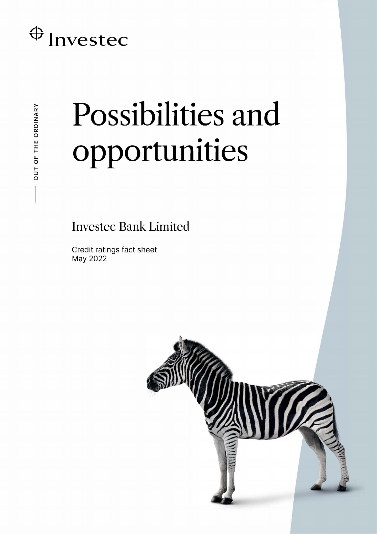# $\bigoplus$  Investec

# Possibilities and opportunities

**Investec Bank Limited** 

Credit ratings fact sheet May 2022

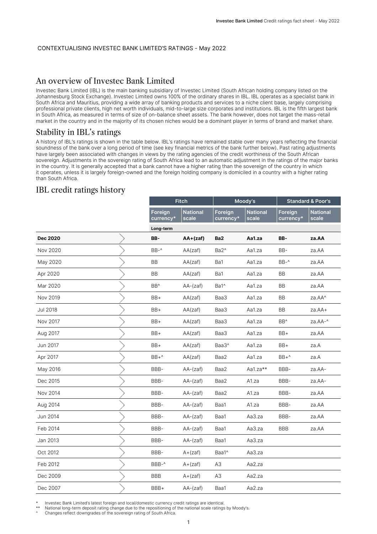#### CONTEXTUALISING INVESTEC BANK LIMITED'S RATINGS - May 2022

# An overview of Investec Bank Limited

Investec Bank Limited (IBL) is the main banking subsidiary of Investec Limited (South African holding company listed on the Johannesburg Stock Exchange). Investec Limited owns 100% of the ordinary shares in IBL. IBL operates as a specialist bank in South Africa and Mauritius, providing a wide array of banking products and services to a niche client base, largely comprising professional private clients, high net worth individuals, mid-to-large size corporates and institutions. IBL is the fifth largest bank in South Africa, as measured in terms of size of on-balance sheet assets. The bank however, does not target the mass-retail market in the country and in the majority of its chosen niches would be a dominant player in terms of brand and market share.

## Stability in IBL's ratings

A history of IBL's ratings is shown in the table below. IBL's ratings have remained stable over many years reflecting the financial soundness of the bank over a long period of time (see key financial metrics of the bank further below). Past rating adjustments have largely been associated with changes in views by the rating agencies of the credit worthiness of the South African sovereign. Adjustments in the sovereign rating of South Africa lead to an automatic adjustment in the ratings of the major banks in the country. It is generally accepted that a bank cannot have a higher rating than the sovereign of the country in which it operates, unless it is largely foreign-owned and the foreign holding company is domiciled in a country with a higher rating than South Africa.

# IBL credit ratings history

|                 |                      | <b>Fitch</b>             |                      | Moody's                  | <b>Standard &amp; Poor's</b> |                          |
|-----------------|----------------------|--------------------------|----------------------|--------------------------|------------------------------|--------------------------|
|                 | Foreign<br>currency* | <b>National</b><br>scale | Foreign<br>currency* | <b>National</b><br>scale | Foreign<br>currency*         | <b>National</b><br>scale |
|                 | Long-term            |                          |                      |                          |                              |                          |
| <b>Dec 2020</b> | BB-                  | $AA + (zaf)$             | Ba <sub>2</sub>      | Aa1.za                   | BB-                          | za.AA                    |
| Nov 2020        | BB-^                 | AA(zaf)                  | Ba2^                 | Aa1.za                   | BB-                          | za.AA                    |
| May 2020        | <b>BB</b>            | AA(zaf)                  | Ba1                  | Aa1.za                   | $BB-^$                       | za.AA                    |
| Apr 2020        | BB                   | AA(zaf)                  | Ba1                  | Aa1.za                   | BB                           | za.AA                    |
| Mar 2020        | BB <sup>^</sup>      | AA-(zaf)                 | Ba1^                 | Aa1.za                   | BB                           | za.AA                    |
| Nov 2019        | BB+                  | AA(zaf)                  | Baa3                 | Aa1.za                   | BB                           | za.AA^                   |
| <b>Jul 2018</b> | BB+                  | AA(zaf)                  | Baa3                 | Aa1.za                   | BB                           | za.AA+                   |
| Nov 2017        | BB+                  | AA(zaf)                  | Baa3                 | Aa1.za                   | BB <sup>^</sup>              | za.AA-^                  |
| Aug 2017        | BB+                  | AA(zaf)                  | Baa3                 | Aa1.za                   | BB+                          | za.AA                    |
| Jun 2017        | BB+                  | AA(zaf)                  | Baa3^                | Aa1.za                   | BB+                          | za.A                     |
| Apr 2017        | $BB+^$               | AA(zaf)                  | Baa2                 | Aa1.za                   | BB+^                         | za.A                     |
| May 2016        | BBB-                 | AA-(zaf)                 | Aa1.za**<br>Baa2     |                          | BBB-                         | za.AA-                   |
| Dec 2015        | BBB-                 | AA-(zaf)                 | Baa2                 | A1.za                    | BBB-                         | za.AA-                   |
| Nov 2014        | BBB-                 | $AA-(zaf)$               | Baa2                 | A1.za                    | BBB-                         | za.AA                    |
| Aug 2014        | BBB-                 | $AA-(zaf)$               | Baa1                 | A1.za                    | BBB-                         | za.AA                    |
| Jun 2014        | BBB-                 | AA-(zaf)                 | Baa1                 | Aa3.za                   | BBB-                         | za.AA                    |
| Feb 2014        | BBB-                 | AA-(zaf)                 | Baa1                 | Aa3.za                   | <b>BBB</b>                   | za.AA                    |
| Jan 2013        | BBB-                 | $AA-(zaf)$               | Baa1                 | Aa3.za                   |                              |                          |
| Oct 2012        | BBB-                 | $A + (zaf)$              | Baa1^                | Aa3.za                   |                              |                          |
| Feb 2012        | BBB-^                | $A + (zaf)$              | A3                   | Aa2.za                   |                              |                          |
| Dec 2009        | <b>BBB</b>           | $A + (zaf)$              | A <sub>3</sub>       | Aa2.za                   |                              |                          |
| Dec 2007        | BBB+                 | $AA-(zaf)$               | Baa1                 | Aa2.za                   |                              |                          |

Investec Bank Limited's latest foreign and local/domestic currency credit ratings are identical

National long-term deposit rating change due to the repositioning of the national scale ratings by Moody's.

Changes reflect downgrades of the sovereign rating of South Africa.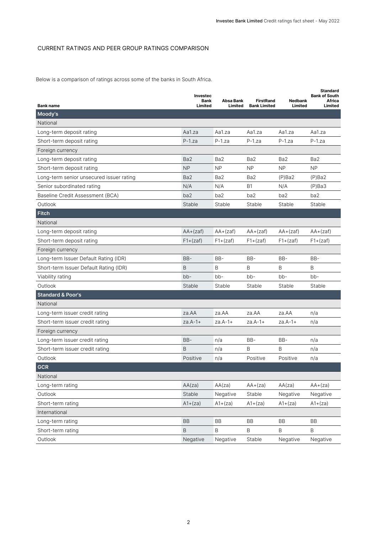### CURRENT RATINGS AND PEER GROUP RATINGS COMPARISON

Below is a comparison of ratings across some of the banks in South Africa.

|                                          | Investec<br>Bank<br>Limited | Absa Bank       | <b>FirstRand</b>    | <b>Nedbank</b><br>Limited | <b>Standard</b><br><b>Bank of South</b><br>Africa |
|------------------------------------------|-----------------------------|-----------------|---------------------|---------------------------|---------------------------------------------------|
| <b>Bank name</b><br>Moody's              |                             | Limited         | <b>Bank Limited</b> |                           | Limited                                           |
| National                                 |                             |                 |                     |                           |                                                   |
| Long-term deposit rating                 | Aa1.za                      | Aa1.za          | Aa1.za              | Aa1.za                    | Aa1.za                                            |
| Short-term deposit rating                | $P-1.za$                    | $P-1.za$        | $P-1$ .za           | $P-1.za$                  | $P-1.za$                                          |
| Foreign currency                         |                             |                 |                     |                           |                                                   |
| Long-term deposit rating                 | Ba2                         | Ba <sub>2</sub> | Ba <sub>2</sub>     | Ba2                       | Ba <sub>2</sub>                                   |
| Short-term deposit rating                | <b>NP</b>                   | <b>NP</b>       | <b>NP</b>           | <b>NP</b>                 | <b>NP</b>                                         |
| Long-term senior unsecured issuer rating | Ba <sub>2</sub>             | Ba2             | Ba2                 | $(P)$ Ba2                 | $(P)$ Ba2                                         |
| Senior subordinated rating               | N/A                         | N/A             | <b>B1</b>           | N/A                       | $(P)$ Ba3                                         |
| Baseline Credit Assessment (BCA)         | ba2                         | ba2             | ba2                 | ba2                       | ba2                                               |
| Outlook                                  | Stable                      | Stable          | Stable              | Stable                    | Stable                                            |
| <b>Fitch</b>                             |                             |                 |                     |                           |                                                   |
| National                                 |                             |                 |                     |                           |                                                   |
| Long-term deposit rating                 | $AA + (zaf)$                | $AA + (zaf)$    | $AA + (zaf)$        | $AA + (zaf)$              | $AA + (zaf)$                                      |
| Short-term deposit rating                | $F1+(zaf)$                  | $F1+(zaf)$      | $F1+(zaf)$          | $F1+(zaf)$                | $F1+(zaf)$                                        |
| Foreign currency                         |                             |                 |                     |                           |                                                   |
| Long-term Issuer Default Rating (IDR)    | BB-                         | BB-             | $BB-$               | BB-                       | BB-                                               |
| Short-term Issuer Default Rating (IDR)   | B                           | B               | B                   | B                         | B                                                 |
| Viability rating                         | $bb -$                      | $bb -$          | $bb -$              | bb-                       | bb-                                               |
| Outlook                                  | Stable                      | Stable          | Stable              | Stable                    | Stable                                            |
| <b>Standard &amp; Poor's</b>             |                             |                 |                     |                           |                                                   |
| National                                 |                             |                 |                     |                           |                                                   |
| Long-term issuer credit rating           | za.AA                       | za.AA           | za.AA               | za.AA                     | n/a                                               |
| Short-term issuer credit rating          | $za.A-1+$                   | $za.A-1+$       | $za.A-1+$           | za.A-1+                   | n/a                                               |
| Foreign currency                         |                             |                 |                     |                           |                                                   |
| Long-term issuer credit rating           | BB-                         | n/a             | BB-                 | BB-                       | n/a                                               |
| Short-term issuer credit rating          | B                           | n/a             | B                   | B                         | n/a                                               |
| Outlook                                  | Positive                    | n/a             | Positive            | Positive                  | n/a                                               |
| <b>GCR</b>                               |                             |                 |                     |                           |                                                   |
| National                                 |                             |                 |                     |                           |                                                   |
| Long-term rating                         | AA(za)                      | AA(za)          | $AA+(za)$           | AA(za)                    | $AA+(za)$                                         |
| Outlook                                  | Stable                      | Negative        | Stable              | Negative                  | Negative                                          |
| Short-term rating                        | $A1+(za)$                   | $A1+(za)$       | $A1+(za)$           | $A1+(za)$                 | $A1+(za)$                                         |
| International                            |                             |                 |                     |                           |                                                   |
| Long-term rating                         | BB                          | BB              | <b>BB</b>           | BB                        | BB                                                |
| Short-term rating                        | $\sf B$                     | $\mathsf B$     | $\sf B$             | $\sf B$                   | Β                                                 |
| Outlook                                  | Negative                    | Negative        | Stable              | Negative                  | Negative                                          |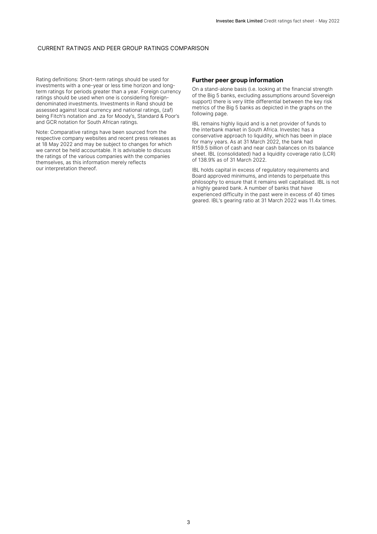#### CURRENT RATINGS AND PEER GROUP RATINGS COMPARISON

Rating definitions: Short-term ratings should be used for investments with a one-year or less time horizon and longterm ratings for periods greater than a year. Foreign currency ratings should be used when one is considering foreigndenominated investments. Investments in Rand should be assessed against local currency and national ratings, (zaf) being Fitch's notation and .za for Moody's, Standard & Poor's and GCR notation for South African ratings.

Note: Comparative ratings have been sourced from the respective company websites and recent press releases as at 18 May 2022 and may be subject to changes for which we cannot be held accountable. It is advisable to discuss the ratings of the various companies with the companies themselves, as this information merely reflects our interpretation thereof.

#### **Further peer group information**

On a stand-alone basis (i.e. looking at the financial strength of the Big 5 banks, excluding assumptions around Sovereign support) there is very little differential between the key risk metrics of the Big 5 banks as depicted in the graphs on the following page.

IBL remains highly liquid and is a net provider of funds to the interbank market in South Africa. Investec has a conservative approach to liquidity, which has been in place for many years. As at 31 March 2022, the bank had R159.5 billion of cash and near cash balances on its balance sheet. IBL (consolidated) had a liquidity coverage ratio (LCR) of 138.9% as of 31 March 2022.

IBL holds capital in excess of regulatory requirements and Board approved minimums, and intends to perpetuate this philosophy to ensure that it remains well capitalised. IBL is not a highly geared bank. A number of banks that have experienced difficulty in the past were in excess of 40 times geared. IBL's gearing ratio at 31 March 2022 was 11.4x times.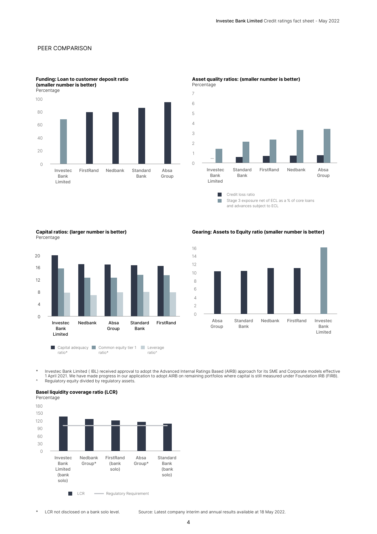#### PEER COMPARISON



**Funding: Loan to customer deposit ratio (smaller number is better)**



# **Asset quality ratios: (smaller number is better)**

 $\mathcal{C}^{\mathcal{A}}$ Stage 3 exposure net of ECL as a % of core loans and advances subject to ECL

**Capital ratios: (larger number is better)** Percentage



**Gearing: Assets to Equity ratio (smaller number is better)**



hvestec Bank Limited ( IBL) received approval to adopt the Advanced Internal Ratings Based (AIRB) approach for its SME and Corporate models effective \*<br>1 April 2021. We have made progress in our application to adopt AIRB o ^ Regulatory equity divided by regulatory assets.

#### **Basel liquidity coverage ratio (LCR)**



\* LCR not disclosed on a bank solo level. Source: Latest company interim and annual results available at 18 May 2022.